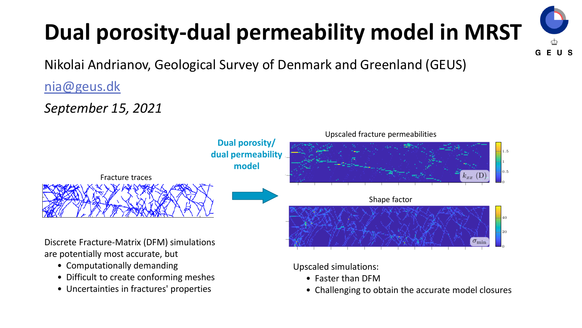# **Dual porosity-dual permeability model in MRST**

Nikolai Andrianov, Geological Survey of Denmark and Greenland (GEUS)

[nia@geus.dk](mailto:nia@geus.dk)

*September 15, 2021*



- Difficult to create conforming meshes
- Uncertainties in fractures' properties

• Challenging to obtain the accurate model closures

**GEUS**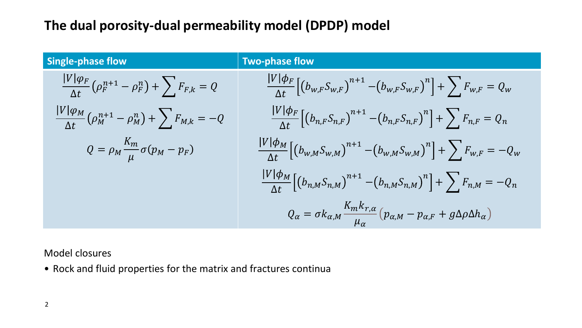## **The dual porosity-dual permeability model (DPDP) model**

| <b>Single-phase flow</b>                                               | <b>Two-phase flow</b>                                                                                                                                 |
|------------------------------------------------------------------------|-------------------------------------------------------------------------------------------------------------------------------------------------------|
| $\frac{ V \varphi_F}{\Delta t}(\rho_F^{n+1}-\rho_F^n)+\sum F_{F,k}=Q$  | $\frac{ V  \phi_F}{\Delta t} \left[ \left( b_{w,F} S_{w,F} \right)^{n+1} - \left( b_{w,F} S_{w,F} \right)^n \right] + \sum F_{w,F} = Q_w$             |
| $\frac{ V \varphi_M}{\Delta t}(\rho_M^{n+1}-\rho_M^n)+\sum F_{M,k}=-Q$ | $\frac{ V \phi_F}{\Delta t}\Big[\big(b_{n,F}S_{n,F}\big)^{n+1}-\big(b_{n,F}S_{n,F}\big)^n\Big]+\sum F_{n,F}=Q_n$                                      |
| $Q = \rho_M \frac{K_m}{\mu} \sigma(p_M - p_F)$                         | $\frac{ V \phi_{M}}{\Delta t}\left[\left(b_{w,M}S_{w,M}\right)^{n+1}-\left(b_{w,M}S_{w,M}\right)^{n}\right]+\sum F_{w,F}=-Q_{w}$                      |
|                                                                        | $\frac{ V \phi_{M}}{\Delta t}\Big[\big(b_{n,M}S_{n,M}\big)^{n+1}-\big(b_{n,M}S_{n,M}\big)^{n}\Big]+\sum F_{n,M}=-Q_{n}$                               |
|                                                                        | $Q_{\alpha} = \sigma k_{\alpha,M} \frac{K_m k_{r,\alpha}}{\mu_{\alpha}} \left( p_{\alpha,M} - p_{\alpha,F} + g \Delta \rho \Delta h_{\alpha} \right)$ |

Model closures

• Rock and fluid properties for the matrix and fractures continua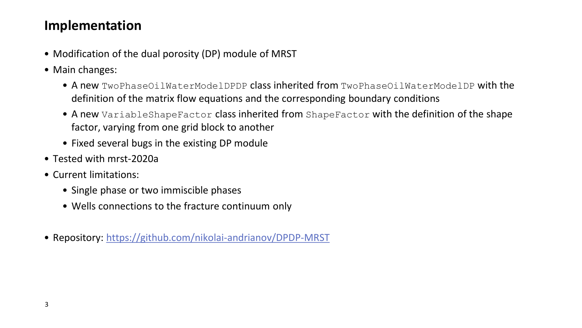### **Implementation**

- Modification of the dual porosity (DP) module of MRST
- Main changes:
	- A new TwoPhaseOilWaterModelDPDP class inherited from TwoPhaseOilWaterModelDP with the definition of the matrix flow equations and the corresponding boundary conditions
	- A new VariableShapeFactor class inherited from ShapeFactor with the definition of the shape factor, varying from one grid block to another
	- Fixed several bugs in the existing DP module
- Tested with mrst-2020a
- Current limitations:
	- Single phase or two immiscible phases
	- Wells connections to the fracture continuum only
- Repository: <https://github.com/nikolai-andrianov/DPDP-MRST>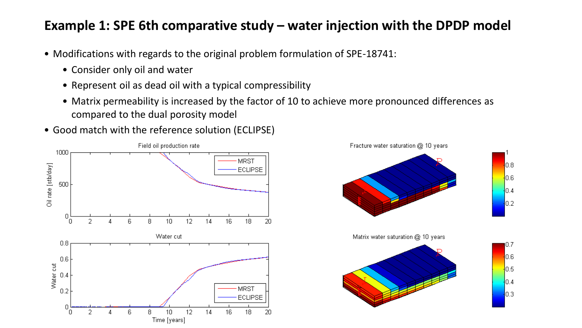#### **Example 1: SPE 6th comparative study – water injection with the DPDP model**

- Modifications with regards to the original problem formulation of SPE-18741:
	- Consider only oil and water
	- Represent oil as dead oil with a typical compressibility
	- Matrix permeability is increased by the factor of 10 to achieve more pronounced differences as compared to the dual porosity model
- Good match with the reference solution (ECLIPSE)